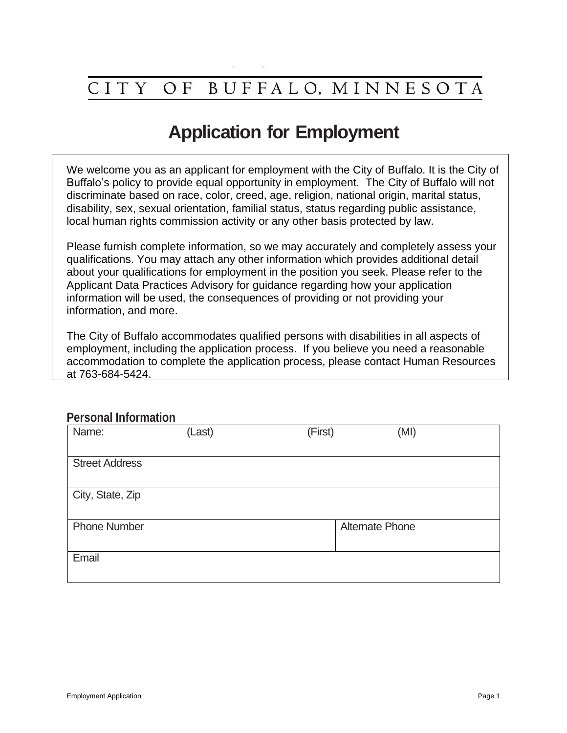#### O F BUFFALO, MINNESOTA **CITY**

## **Application for Employment**

We welcome you as an applicant for employment with the City of Buffalo. It is the City of Buffalo's policy to provide equal opportunity in employment. The City of Buffalo will not discriminate based on race, color, creed, age, religion, national origin, marital status, disability, sex, sexual orientation, familial status, status regarding public assistance, local human rights commission activity or any other basis protected by law.

Please furnish complete information, so we may accurately and completely assess your qualifications. You may attach any other information which provides additional detail about your qualifications for employment in the position you seek. Please refer to the Applicant Data Practices Advisory for guidance regarding how your application information will be used, the consequences of providing or not providing your information, and more.

The City of Buffalo accommodates qualified persons with disabilities in all aspects of employment, including the application process. If you believe you need a reasonable accommodation to complete the application process, please contact Human Resources at 763-684-5424.

### **Personal Information**

| <u> 1991 - 1992 - 1993 - 1993 - 1994 - 1994 - 1994 - 1994 - 1994 - 1994 - 1994 - 1994 - 1994 - 1994 - 1</u> |        |         |                        |
|-------------------------------------------------------------------------------------------------------------|--------|---------|------------------------|
| Name:                                                                                                       | (Last) | (First) | (MI)                   |
| <b>Street Address</b>                                                                                       |        |         |                        |
| City, State, Zip                                                                                            |        |         |                        |
| <b>Phone Number</b>                                                                                         |        |         | <b>Alternate Phone</b> |
| Email                                                                                                       |        |         |                        |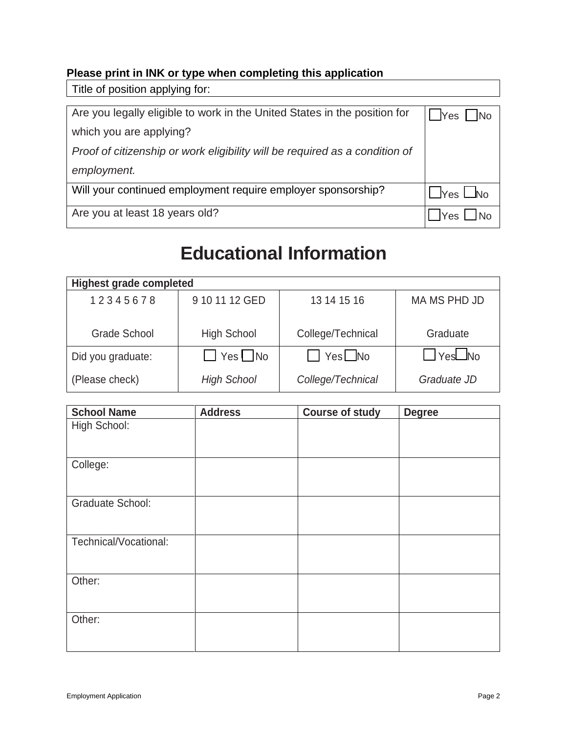### **Please print in INK or type when completing this application**

Title of position applying for:

| Are you legally eligible to work in the United States in the position for   | Yes No               |
|-----------------------------------------------------------------------------|----------------------|
| which you are applying?                                                     |                      |
| Proof of citizenship or work eligibility will be required as a condition of |                      |
| employment.                                                                 |                      |
| Will your continued employment require employer sponsorship?                | $\Box$ Yes $\Box$ No |
| Are you at least 18 years old?                                              | Yes                  |

## **Educational Information**

| <b>Highest grade completed</b> |                      |                      |                      |
|--------------------------------|----------------------|----------------------|----------------------|
| 12345678                       | 9 10 11 12 GED       | 13 14 15 16          | MA MS PHD JD         |
| Grade School                   | <b>High School</b>   | College/Technical    | Graduate             |
| Did you graduate:              | $\Box$ Yes $\Box$ No | $\Box$ Yes $\Box$ No | $\Box$ Yes $\Box$ No |
| (Please check)                 | <b>High School</b>   | College/Technical    | Graduate JD          |

| <b>School Name</b>      | <b>Address</b> | <b>Course of study</b> | <b>Degree</b> |
|-------------------------|----------------|------------------------|---------------|
| High School:            |                |                        |               |
| College:                |                |                        |               |
| <b>Graduate School:</b> |                |                        |               |
| Technical/Vocational:   |                |                        |               |
| Other:                  |                |                        |               |
| Other:                  |                |                        |               |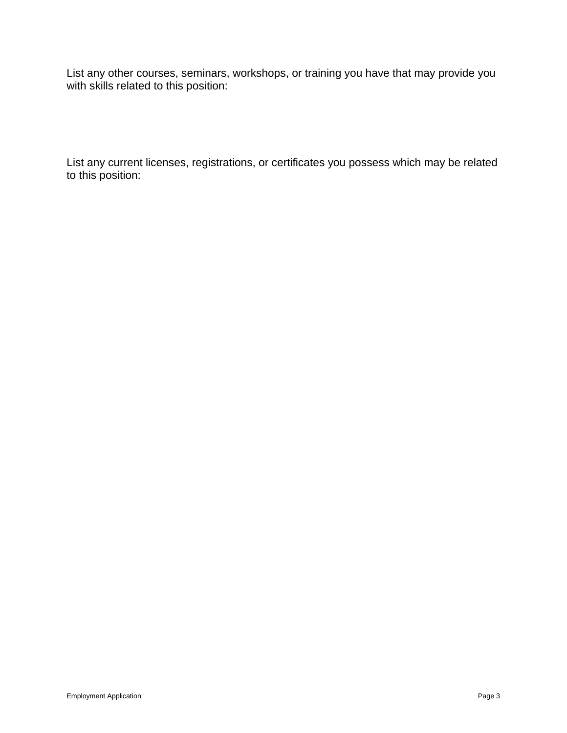List any other courses, seminars, workshops, or training you have that may provide you with skills related to this position:

List any current licenses, registrations, or certificates you possess which may be related to this position: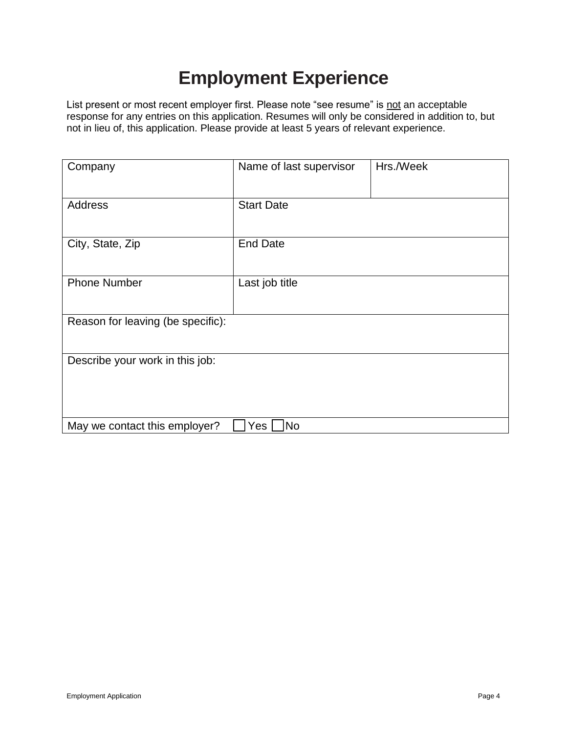# **Employment Experience**

List present or most recent employer first. Please note "see resume" is not an acceptable response for any entries on this application. Resumes will only be considered in addition to, but not in lieu of, this application. Please provide at least 5 years of relevant experience.

| Company                           | Name of last supervisor | Hrs./Week |
|-----------------------------------|-------------------------|-----------|
| <b>Address</b>                    | <b>Start Date</b>       |           |
| City, State, Zip                  | <b>End Date</b>         |           |
| <b>Phone Number</b>               | Last job title          |           |
| Reason for leaving (be specific): |                         |           |
| Describe your work in this job:   |                         |           |
| May we contact this employer?     | No<br>Yes               |           |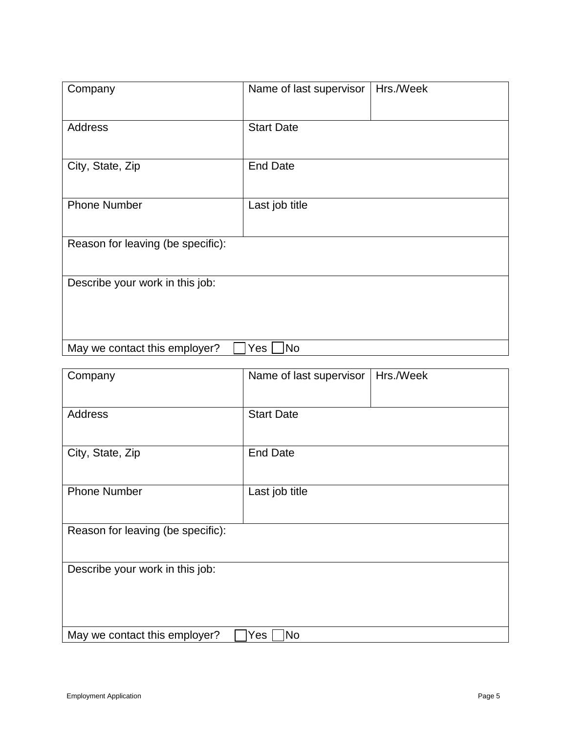| Company                           | Hrs./Week<br>Name of last supervisor |  |
|-----------------------------------|--------------------------------------|--|
| <b>Address</b>                    | <b>Start Date</b>                    |  |
| City, State, Zip                  | <b>End Date</b>                      |  |
| <b>Phone Number</b>               | Last job title                       |  |
| Reason for leaving (be specific): |                                      |  |
| Describe your work in this job:   |                                      |  |
| May we contact this employer?     | Yes<br><b>No</b>                     |  |

| Company                           | Name of last supervisor | Hrs./Week |
|-----------------------------------|-------------------------|-----------|
| <b>Address</b>                    | <b>Start Date</b>       |           |
| City, State, Zip                  | <b>End Date</b>         |           |
| <b>Phone Number</b>               | Last job title          |           |
| Reason for leaving (be specific): |                         |           |
| Describe your work in this job:   |                         |           |
| May we contact this employer?     | No<br>Yes               |           |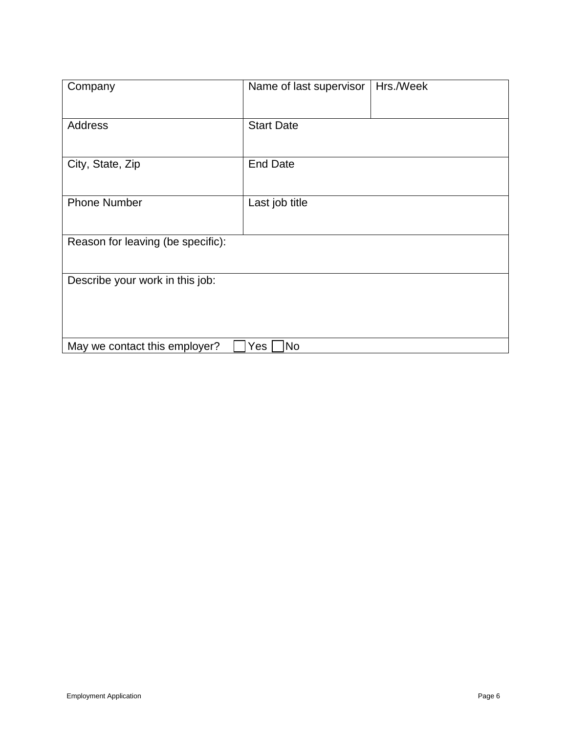| Company                           | Name of last supervisor | Hrs./Week |
|-----------------------------------|-------------------------|-----------|
| Address                           | <b>Start Date</b>       |           |
| City, State, Zip                  | <b>End Date</b>         |           |
| <b>Phone Number</b>               | Last job title          |           |
| Reason for leaving (be specific): |                         |           |
| Describe your work in this job:   |                         |           |
| May we contact this employer?     | No<br>Yes               |           |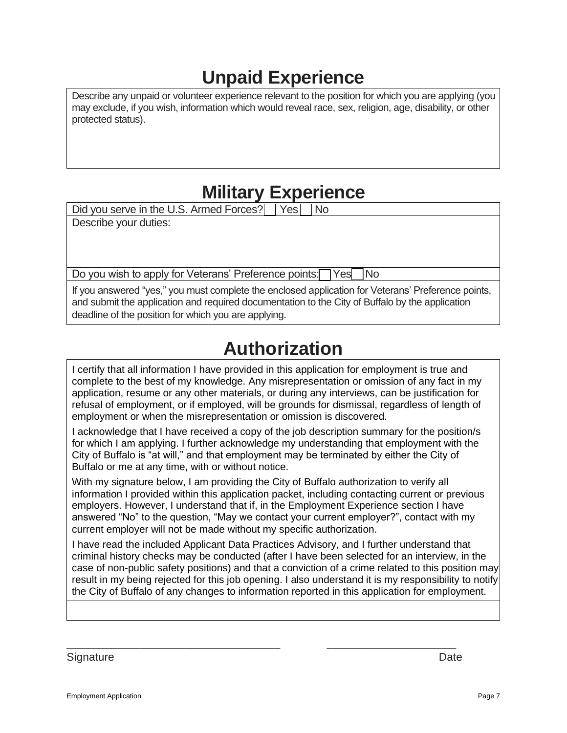# **Unpaid Experience**

Describe any unpaid or volunteer experience relevant to the position for which you are applying (you may exclude, if you wish, information which would reveal race, sex, religion, age, disability, or other protected status).

## **Military Experience**

Did you serve in the U.S. Armed Forces?  $\Box$  Yes  $\Box$  No

Describe your duties:

Do you wish to apply for Veterans' Preference points: Yes No

If you answered "yes," you must complete the enclosed application for Veterans' Preference points, and submit the application and required documentation to the City of Buffalo by the application deadline of the position for which you are applying.

## **Authorization**

I certify that all information I have provided in this application for employment is true and complete to the best of my knowledge. Any misrepresentation or omission of any fact in my application, resume or any other materials, or during any interviews, can be justification for refusal of employment, or if employed, will be grounds for dismissal, regardless of length of employment or when the misrepresentation or omission is discovered.

I acknowledge that I have received a copy of the job description summary for the position/s for which I am applying. I further acknowledge my understanding that employment with the City of Buffalo is "at will," and that employment may be terminated by either the City of Buffalo or me at any time, with or without notice.

With my signature below, I am providing the City of Buffalo authorization to verify all information I provided within this application packet, including contacting current or previous employers. However, I understand that if, in the Employment Experience section I have answered "No" to the question, "May we contact your current employer?", contact with my current employer will not be made without my specific authorization.

I have read the included Applicant Data Practices Advisory, and I further understand that criminal history checks may be conducted (after I have been selected for an interview, in the case of non-public safety positions) and that a conviction of a crime related to this position may result in my being rejected for this job opening. I also understand it is my responsibility to notify the City of Buffalo of any changes to information reported in this application for employment.

\_\_\_\_\_\_\_\_\_\_\_\_\_\_\_\_\_\_\_\_\_\_\_\_\_\_\_\_\_\_\_\_\_\_\_\_\_\_ \_\_\_\_\_\_\_\_\_\_\_\_\_\_\_\_\_\_\_\_\_\_\_

Signature **Date**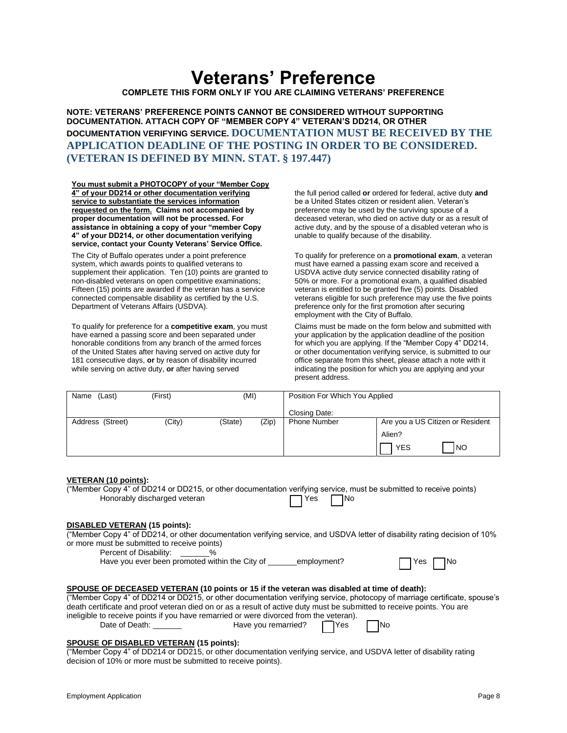## **Veterans' Preference**

**COMPLETE THIS FORM ONLY IF YOU ARE CLAIMING VETERANS' PREFERENCE**

**NOTE: VETERANS' PREFERENCE POINTS CANNOT BE CONSIDERED WITHOUT SUPPORTING DOCUMENTATION. ATTACH COPY OF "MEMBER COPY 4" VETERAN'S DD214, OR OTHER DOCUMENTATION VERIFYING SERVICE. DOCUMENTATION MUST BE RECEIVED BY THE APPLICATION DEADLINE OF THE POSTING IN ORDER TO BE CONSIDERED. (VETERAN IS DEFINED BY MINN. STAT. § 197.447)**

**You must submit a PHOTOCOPY of your "Member Copy 4" of your DD214 or other documentation verifying service to substantiate the services information requested on the form. Claims not accompanied by proper documentation will not be processed. For assistance in obtaining a copy of your "member Copy 4" of your DD214, or other documentation verifying service, contact your County Veterans' Service Office.**

The City of Buffalo operates under a point preference system, which awards points to qualified veterans to supplement their application. Ten (10) points are granted to non-disabled veterans on open competitive examinations; Fifteen (15) points are awarded if the veteran has a service connected compensable disability as certified by the U.S. Department of Veterans Affairs (USDVA).

To qualify for preference for a **competitive exam**, you must have earned a passing score and been separated under honorable conditions from any branch of the armed forces of the United States after having served on active duty for 181 consecutive days, **or** by reason of disability incurred while serving on active duty, **or** after having served

the full period called **or** ordered for federal, active duty **and** be a United States citizen or resident alien. Veteran's preference may be used by the surviving spouse of a deceased veteran, who died on active duty or as a result of active duty, and by the spouse of a disabled veteran who is unable to qualify because of the disability.

To qualify for preference on a **promotional exam**, a veteran must have earned a passing exam score and received a USDVA active duty service connected disability rating of 50% or more. For a promotional exam, a qualified disabled veteran is entitled to be granted five (5) points. Disabled veterans eligible for such preference may use the five points preference only for the first promotion after securing employment with the City of Buffalo.

Claims must be made on the form below and submitted with your application by the application deadline of the position for which you are applying. If the "Member Copy 4" DD214, or other documentation verifying service, is submitted to our office separate from this sheet, please attach a note with it indicating the position for which you are applying and your present address.

| (Last)<br>Name   | (First) | (MI)    |       | Position For Which You Applied |                                  |
|------------------|---------|---------|-------|--------------------------------|----------------------------------|
|                  |         |         |       | Closing Date:                  |                                  |
| Address (Street) | (City)  | (State) | (Zip) | <b>Phone Number</b>            | Are you a US Citizen or Resident |
|                  |         |         |       |                                | Alien?                           |
|                  |         |         |       |                                | INO<br><b>YES</b>                |

#### **VETERAN (10 points):**

("Member Copy 4" of DD214 or DD215, or other documentation verifying service, must be submitted to receive points) Honorably discharged veteran TVes No

#### **DISABLED VETERAN (15 points):**

("Member Copy 4" of DD214, or other documentation verifying service, and USDVA letter of disability rating decision of 10% or more must be submitted to receive points)

Percent of Disability:  $\frac{1}{2}$ %

Have you ever been promoted within the City of \_\_\_\_\_employment? The TNo

#### **SPOUSE OF DECEASED VETERAN (10 points or 15 if the veteran was disabled at time of death):**

("Member Copy 4" of DD214 or DD215, or other documentation verifying service, photocopy of marriage certificate, spouse's death certificate and proof veteran died on or as a result of active duty must be submitted to receive points. You are

ineligible to receive points if you have remarried or were divorced from the veteran).<br>Date of Death: Have you remarried? Have you remarried?  $\Box$  Yes  $\Box$  No

#### **SPOUSE OF DISABLED VETERAN (15 points):**

("Member Copy 4" of DD214 or DD215, or other documentation verifying service, and USDVA letter of disability rating decision of 10% or more must be submitted to receive points).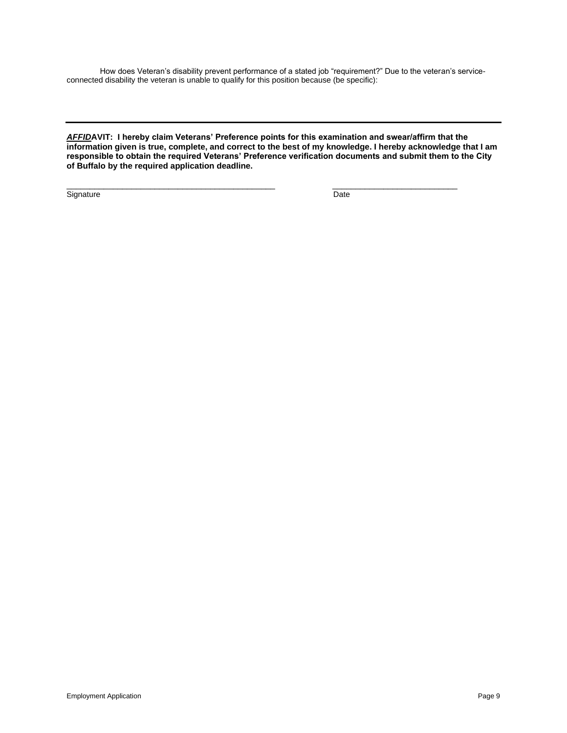How does Veteran's disability prevent performance of a stated job "requirement?" Due to the veteran's serviceconnected disability the veteran is unable to qualify for this position because (be specific):

*AFFID***AVIT: I hereby claim Veterans' Preference points for this examination and swear/affirm that the information given is true, complete, and correct to the best of my knowledge. I hereby acknowledge that I am responsible to obtain the required Veterans' Preference verification documents and submit them to the City of Buffalo by the required application deadline.**

 $\overline{\phantom{a}}$  , and the set of the set of the set of the set of the set of the set of the set of the set of the set of the set of the set of the set of the set of the set of the set of the set of the set of the set of the s

Signature Date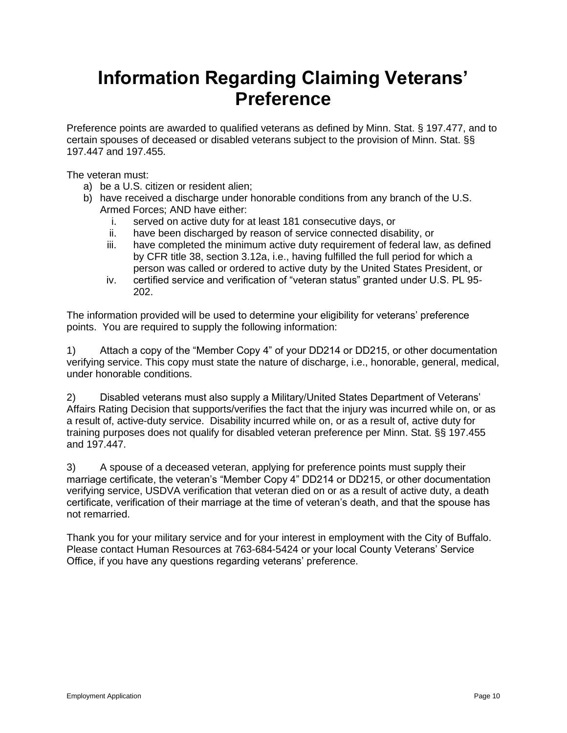## **Information Regarding Claiming Veterans' Preference**

Preference points are awarded to qualified veterans as defined by Minn. Stat. § 197.477, and to certain spouses of deceased or disabled veterans subject to the provision of Minn. Stat. §§ 197.447 and 197.455.

The veteran must:

- a) be a U.S. citizen or resident alien;
- b) have received a discharge under honorable conditions from any branch of the U.S. Armed Forces; AND have either:
	- i. served on active duty for at least 181 consecutive days, or
	- ii. have been discharged by reason of service connected disability, or
	- iii. have completed the minimum active duty requirement of federal law, as defined by CFR title 38, section 3.12a, i.e., having fulfilled the full period for which a person was called or ordered to active duty by the United States President, or
	- iv. certified service and verification of "veteran status" granted under U.S. PL 95- 202.

The information provided will be used to determine your eligibility for veterans' preference points. You are required to supply the following information:

1) Attach a copy of the "Member Copy 4" of your DD214 or DD215, or other documentation verifying service. This copy must state the nature of discharge, i.e., honorable, general, medical, under honorable conditions.

2) Disabled veterans must also supply a Military/United States Department of Veterans' Affairs Rating Decision that supports/verifies the fact that the injury was incurred while on, or as a result of, active-duty service. Disability incurred while on, or as a result of, active duty for training purposes does not qualify for disabled veteran preference per Minn. Stat. §§ 197.455 and 197.447.

3) A spouse of a deceased veteran, applying for preference points must supply their marriage certificate, the veteran's "Member Copy 4" DD214 or DD215, or other documentation verifying service, USDVA verification that veteran died on or as a result of active duty, a death certificate, verification of their marriage at the time of veteran's death, and that the spouse has not remarried.

Thank you for your military service and for your interest in employment with the City of Buffalo. Please contact Human Resources at 763-684-5424 or your local County Veterans' Service Office, if you have any questions regarding veterans' preference.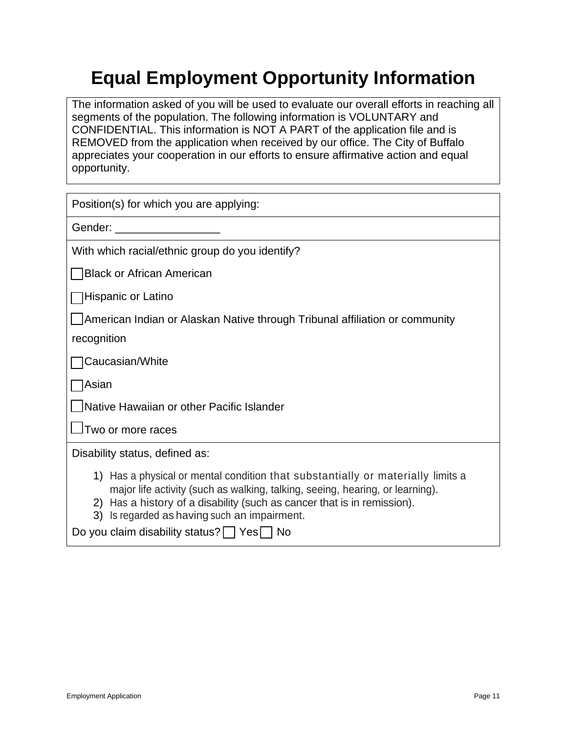# **Equal Employment Opportunity Information**

The information asked of you will be used to evaluate our overall efforts in reaching all segments of the population. The following information is VOLUNTARY and CONFIDENTIAL. This information is NOT A PART of the application file and is REMOVED from the application when received by our office. The City of Buffalo appreciates your cooperation in our efforts to ensure affirmative action and equal opportunity.

| Position(s) for which you are applying:                                                                                                                                                                                                                                                                                                   |
|-------------------------------------------------------------------------------------------------------------------------------------------------------------------------------------------------------------------------------------------------------------------------------------------------------------------------------------------|
| Gender: Entertainment of the state of the state of the state of the state of the state of the state of the state of the state of the state of the state of the state of the state of the state of the state of the state of th                                                                                                            |
| With which racial/ethnic group do you identify?                                                                                                                                                                                                                                                                                           |
| <b>Black or African American</b>                                                                                                                                                                                                                                                                                                          |
| Hispanic or Latino                                                                                                                                                                                                                                                                                                                        |
| American Indian or Alaskan Native through Tribunal affiliation or community                                                                                                                                                                                                                                                               |
| recognition                                                                                                                                                                                                                                                                                                                               |
| Caucasian/White                                                                                                                                                                                                                                                                                                                           |
| Asian                                                                                                                                                                                                                                                                                                                                     |
| Native Hawaiian or other Pacific Islander                                                                                                                                                                                                                                                                                                 |
| JTwo or more races                                                                                                                                                                                                                                                                                                                        |
| Disability status, defined as:                                                                                                                                                                                                                                                                                                            |
| 1) Has a physical or mental condition that substantially or materially limits a<br>major life activity (such as walking, talking, seeing, hearing, or learning).<br>2) Has a history of a disability (such as cancer that is in remission).<br>3) Is regarded as having such an impairment.<br>Do you claim disability status?   Yes   No |
|                                                                                                                                                                                                                                                                                                                                           |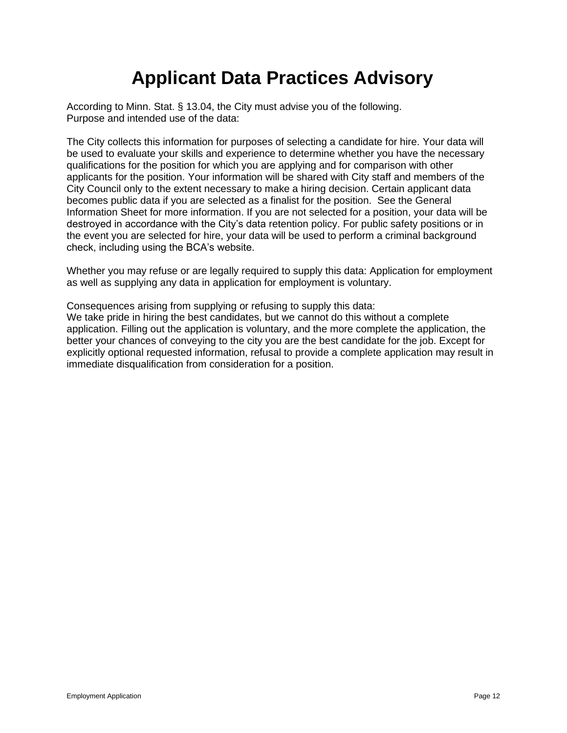# **Applicant Data Practices Advisory**

According to Minn. Stat. § 13.04, the City must advise you of the following. Purpose and intended use of the data:

The City collects this information for purposes of selecting a candidate for hire. Your data will be used to evaluate your skills and experience to determine whether you have the necessary qualifications for the position for which you are applying and for comparison with other applicants for the position. Your information will be shared with City staff and members of the City Council only to the extent necessary to make a hiring decision. Certain applicant data becomes public data if you are selected as a finalist for the position. See the General Information Sheet for more information. If you are not selected for a position, your data will be destroyed in accordance with the City's data retention policy. For public safety positions or in the event you are selected for hire, your data will be used to perform a criminal background check, including using the BCA's website.

Whether you may refuse or are legally required to supply this data: Application for employment as well as supplying any data in application for employment is voluntary.

Consequences arising from supplying or refusing to supply this data:

We take pride in hiring the best candidates, but we cannot do this without a complete application. Filling out the application is voluntary, and the more complete the application, the better your chances of conveying to the city you are the best candidate for the job. Except for explicitly optional requested information, refusal to provide a complete application may result in immediate disqualification from consideration for a position.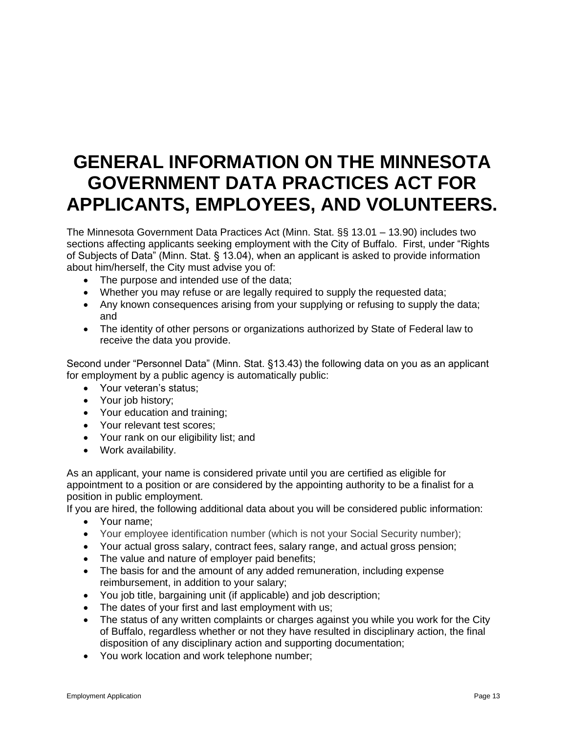## **GENERAL INFORMATION ON THE MINNESOTA GOVERNMENT DATA PRACTICES ACT FOR APPLICANTS, EMPLOYEES, AND VOLUNTEERS.**

The Minnesota Government Data Practices Act (Minn. Stat. §§ 13.01 – 13.90) includes two sections affecting applicants seeking employment with the City of Buffalo. First, under "Rights of Subjects of Data" (Minn. Stat. § 13.04), when an applicant is asked to provide information about him/herself, the City must advise you of:

- The purpose and intended use of the data;
- Whether you may refuse or are legally required to supply the requested data;
- Any known consequences arising from your supplying or refusing to supply the data; and
- The identity of other persons or organizations authorized by State of Federal law to receive the data you provide.

Second under "Personnel Data" (Minn. Stat. §13.43) the following data on you as an applicant for employment by a public agency is automatically public:

- Your veteran's status;
- Your job history;
- Your education and training;
- Your relevant test scores;
- Your rank on our eligibility list; and
- Work availability.

As an applicant, your name is considered private until you are certified as eligible for appointment to a position or are considered by the appointing authority to be a finalist for a position in public employment.

If you are hired, the following additional data about you will be considered public information:

- Your name;
- Your employee identification number (which is not your Social Security number);
- Your actual gross salary, contract fees, salary range, and actual gross pension;
- The value and nature of employer paid benefits;
- The basis for and the amount of any added remuneration, including expense reimbursement, in addition to your salary;
- You job title, bargaining unit (if applicable) and job description;
- The dates of your first and last employment with us;
- The status of any written complaints or charges against you while you work for the City of Buffalo, regardless whether or not they have resulted in disciplinary action, the final disposition of any disciplinary action and supporting documentation;
- You work location and work telephone number;